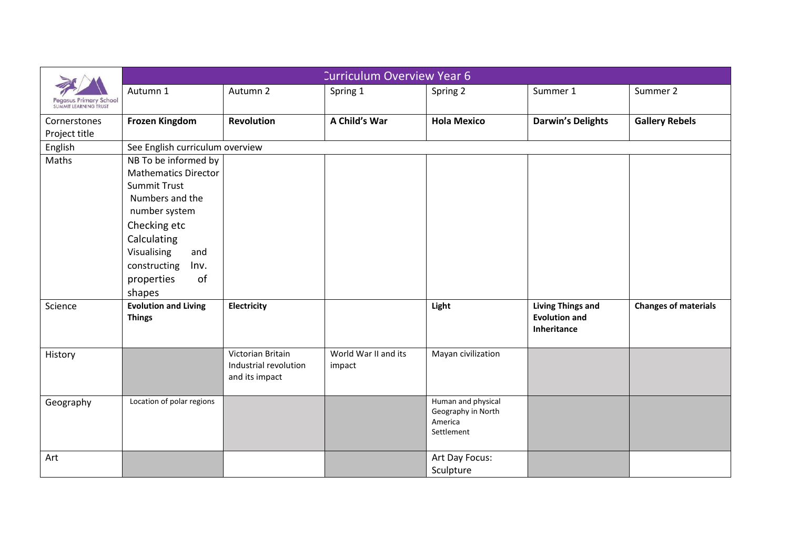| Pegasus Primary School<br><b>SUMMIT LEARNING TRUST</b> | <b>Curriculum Overview Year 6</b>                                                                                                                                                                                         |                                                              |                                |                                                                   |                                                                 |                             |  |  |  |
|--------------------------------------------------------|---------------------------------------------------------------------------------------------------------------------------------------------------------------------------------------------------------------------------|--------------------------------------------------------------|--------------------------------|-------------------------------------------------------------------|-----------------------------------------------------------------|-----------------------------|--|--|--|
|                                                        | Autumn 1                                                                                                                                                                                                                  | Autumn 2                                                     | Spring 1                       | Spring 2                                                          | Summer 1                                                        | Summer 2                    |  |  |  |
| Cornerstones<br>Project title                          | <b>Frozen Kingdom</b>                                                                                                                                                                                                     | <b>Revolution</b>                                            | A Child's War                  | <b>Hola Mexico</b>                                                | <b>Darwin's Delights</b>                                        | <b>Gallery Rebels</b>       |  |  |  |
| English                                                | See English curriculum overview                                                                                                                                                                                           |                                                              |                                |                                                                   |                                                                 |                             |  |  |  |
| Maths                                                  | NB To be informed by<br><b>Mathematics Director</b><br><b>Summit Trust</b><br>Numbers and the<br>number system<br>Checking etc<br>Calculating<br>Visualising<br>and<br>Inv.<br>constructing<br>of<br>properties<br>shapes |                                                              |                                |                                                                   |                                                                 |                             |  |  |  |
| Science                                                | <b>Evolution and Living</b><br><b>Things</b>                                                                                                                                                                              | Electricity                                                  |                                | Light                                                             | <b>Living Things and</b><br><b>Evolution and</b><br>Inheritance | <b>Changes of materials</b> |  |  |  |
| History                                                |                                                                                                                                                                                                                           | Victorian Britain<br>Industrial revolution<br>and its impact | World War II and its<br>impact | Mayan civilization                                                |                                                                 |                             |  |  |  |
| Geography                                              | Location of polar regions                                                                                                                                                                                                 |                                                              |                                | Human and physical<br>Geography in North<br>America<br>Settlement |                                                                 |                             |  |  |  |
| Art                                                    |                                                                                                                                                                                                                           |                                                              |                                | Art Day Focus:<br>Sculpture                                       |                                                                 |                             |  |  |  |